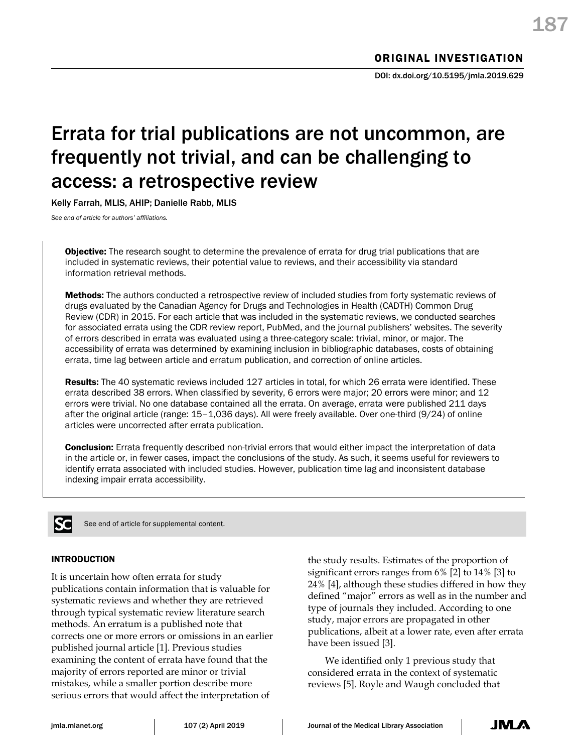# Errata for trial publications are not uncommon, are frequently not trivial, and can be challenging to access: a retrospective review

Kelly Farrah, MLIS, AHIP; Danielle Rabb, MLIS

*See end of article for authors' affiliations.*

Objective: The research sought to determine the prevalence of errata for drug trial publications that are included in systematic reviews, their potential value to reviews, and their accessibility via standard information retrieval methods.

Methods: The authors conducted a retrospective review of included studies from forty systematic reviews of drugs evaluated by the Canadian Agency for Drugs and Technologies in Health (CADTH) Common Drug Review (CDR) in 2015. For each article that was included in the systematic reviews, we conducted searches for associated errata using the CDR review report, PubMed, and the journal publishers' websites. The severity of errors described in errata was evaluated using a three-category scale: trivial, minor, or major. The accessibility of errata was determined by examining inclusion in bibliographic databases, costs of obtaining errata, time lag between article and erratum publication, and correction of online articles.

Results: The 40 systematic reviews included 127 articles in total, for which 26 errata were identified. These errata described 38 errors. When classified by severity, 6 errors were major; 20 errors were minor; and 12 errors were trivial. No one database contained all the errata. On average, errata were published 211 days after the original article (range: 15–1,036 days). All were freely available. Over one-third (9/24) of online articles were uncorrected after errata publication.

**Conclusion:** Errata frequently described non-trivial errors that would either impact the interpretation of data in the article or, in fewer cases, impact the conclusions of the study. As such, it seems useful for reviewers to identify errata associated with included studies. However, publication time lag and inconsistent database indexing impair errata accessibility.



See end of article for supplemental content.

# INTRODUCTION

It is uncertain how often errata for study publications contain information that is valuable for systematic reviews and whether they are retrieved through typical systematic review literature search methods. An erratum is a published note that corrects one or more errors or omissions in an earlier published journal article [1]. Previous studies examining the content of errata have found that the majority of errors reported are minor or trivial mistakes, while a smaller portion describe more serious errors that would affect the interpretation of

the study results. Estimates of the proportion of significant errors ranges from 6% [2] to 14% [3] to 24% [4], although these studies differed in how they defined "major" errors as well as in the number and type of journals they included. According to one study, major errors are propagated in other publications, albeit at a lower rate, even after errata have been issued [3].

We identified only 1 previous study that considered errata in the context of systematic reviews [5]. Royle and Waugh concluded that

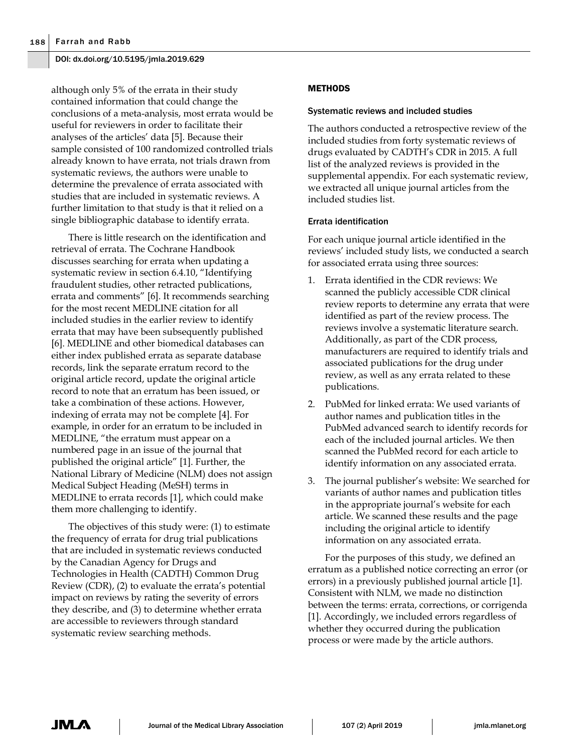although only 5% of the errata in their study contained information that could change the conclusions of a meta-analysis, most errata would be useful for reviewers in order to facilitate their analyses of the articles' data [5]. Because their sample consisted of 100 randomized controlled trials already known to have errata, not trials drawn from systematic reviews, the authors were unable to determine the prevalence of errata associated with studies that are included in systematic reviews. A further limitation to that study is that it relied on a single bibliographic database to identify errata.

There is little research on the identification and retrieval of errata. The Cochrane Handbook discusses searching for errata when updating a systematic review in section 6.4.10, "Identifying fraudulent studies, other retracted publications, errata and comments" [6]. It recommends searching for the most recent MEDLINE citation for all included studies in the earlier review to identify errata that may have been subsequently published [6]. MEDLINE and other biomedical databases can either index published errata as separate database records, link the separate erratum record to the original article record, update the original article record to note that an erratum has been issued, or take a combination of these actions. However, indexing of errata may not be complete [4]. For example, in order for an erratum to be included in MEDLINE, "the erratum must appear on a numbered page in an issue of the journal that published the original article" [1]. Further, the National Library of Medicine (NLM) does not assign Medical Subject Heading (MeSH) terms in MEDLINE to errata records [1], which could make them more challenging to identify.

The objectives of this study were: (1) to estimate the frequency of errata for drug trial publications that are included in systematic reviews conducted by the Canadian Agency for Drugs and Technologies in Health (CADTH) Common Drug Review (CDR), (2) to evaluate the errata's potential impact on reviews by rating the severity of errors they describe, and (3) to determine whether errata are accessible to reviewers through standard systematic review searching methods.

## **METHODS**

#### Systematic reviews and included studies

The authors conducted a retrospective review of the included studies from forty systematic reviews of drugs evaluated by CADTH's CDR in 2015. A full list of the analyzed reviews is provided in the supplemental appendix. For each systematic review, we extracted all unique journal articles from the included studies list.

#### Errata identification

For each unique journal article identified in the reviews' included study lists, we conducted a search for associated errata using three sources:

- 1. Errata identified in the CDR reviews: We scanned the publicly accessible CDR clinical review reports to determine any errata that were identified as part of the review process. The reviews involve a systematic literature search. Additionally, as part of the CDR process, manufacturers are required to identify trials and associated publications for the drug under review, as well as any errata related to these publications.
- 2. PubMed for linked errata: We used variants of author names and publication titles in the PubMed advanced search to identify records for each of the included journal articles. We then scanned the PubMed record for each article to identify information on any associated errata.
- 3. The journal publisher's website: We searched for variants of author names and publication titles in the appropriate journal's website for each article. We scanned these results and the page including the original article to identify information on any associated errata.

For the purposes of this study, we defined an erratum as a published notice correcting an error (or errors) in a previously published journal article [1]. Consistent with NLM, we made no distinction between the terms: errata, corrections, or corrigenda [1]. Accordingly, we included errors regardless of whether they occurred during the publication process or were made by the article authors.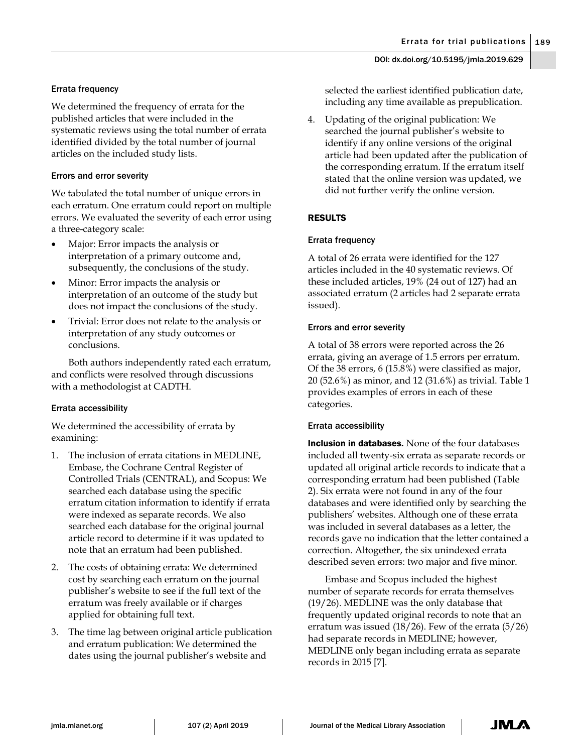# Errata frequency

We determined the frequency of errata for the published articles that were included in the systematic reviews using the total number of errata identified divided by the total number of journal articles on the included study lists.

# Errors and error severity

We tabulated the total number of unique errors in each erratum. One erratum could report on multiple errors. We evaluated the severity of each error using a three-category scale:

- Major: Error impacts the analysis or interpretation of a primary outcome and, subsequently, the conclusions of the study.
- Minor: Error impacts the analysis or interpretation of an outcome of the study but does not impact the conclusions of the study.
- Trivial: Error does not relate to the analysis or interpretation of any study outcomes or conclusions.

Both authors independently rated each erratum, and conflicts were resolved through discussions with a methodologist at CADTH.

# Errata accessibility

We determined the accessibility of errata by examining:

- 1. The inclusion of errata citations in MEDLINE, Embase, the Cochrane Central Register of Controlled Trials (CENTRAL), and Scopus: We searched each database using the specific erratum citation information to identify if errata were indexed as separate records. We also searched each database for the original journal article record to determine if it was updated to note that an erratum had been published.
- 2. The costs of obtaining errata: We determined cost by searching each erratum on the journal publisher's website to see if the full text of the erratum was freely available or if charges applied for obtaining full text.
- 3. The time lag between original article publication and erratum publication: We determined the dates using the journal publisher's website and

selected the earliest identified publication date, including any time available as prepublication.

4. Updating of the original publication: We searched the journal publisher's website to identify if any online versions of the original article had been updated after the publication of the corresponding erratum. If the erratum itself stated that the online version was updated, we did not further verify the online version.

# RESULTS

# Errata frequency

A total of 26 errata were identified for the 127 articles included in the 40 systematic reviews. Of these included articles, 19% (24 out of 127) had an associated erratum (2 articles had 2 separate errata issued).

# Errors and error severity

A total of 38 errors were reported across the 26 errata, giving an average of 1.5 errors per erratum. Of the 38 errors, 6 (15.8%) were classified as major, 20 (52.6%) as minor, and 12 (31.6%) as trivial. Table 1 provides examples of errors in each of these categories.

# Errata accessibility

**Inclusion in databases.** None of the four databases included all twenty-six errata as separate records or updated all original article records to indicate that a corresponding erratum had been published (Table 2). Six errata were not found in any of the four databases and were identified only by searching the publishers' websites. Although one of these errata was included in several databases as a letter, the records gave no indication that the letter contained a correction. Altogether, the six unindexed errata described seven errors: two major and five minor.

Embase and Scopus included the highest number of separate records for errata themselves (19/26). MEDLINE was the only database that frequently updated original records to note that an erratum was issued (18/26). Few of the errata (5/26) had separate records in MEDLINE; however, MEDLINE only began including errata as separate records in 2015 [7].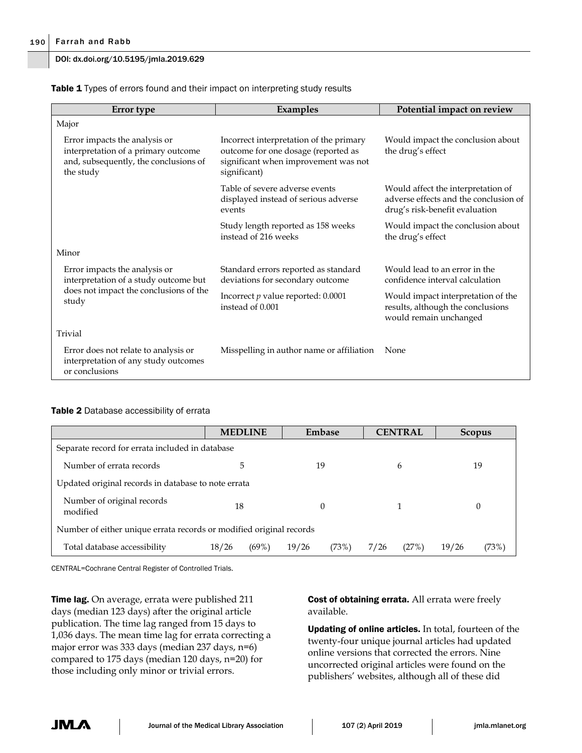| Table 1 Types of errors found and their impact on interpreting study results |  |
|------------------------------------------------------------------------------|--|
|------------------------------------------------------------------------------|--|

| Error type                                                                                                                 | <b>Examples</b>                                                                                                                        | Potential impact on review                                                                                    |  |
|----------------------------------------------------------------------------------------------------------------------------|----------------------------------------------------------------------------------------------------------------------------------------|---------------------------------------------------------------------------------------------------------------|--|
| Major                                                                                                                      |                                                                                                                                        |                                                                                                               |  |
| Error impacts the analysis or<br>interpretation of a primary outcome<br>and, subsequently, the conclusions of<br>the study | Incorrect interpretation of the primary<br>outcome for one dosage (reported as<br>significant when improvement was not<br>significant) | Would impact the conclusion about<br>the drug's effect                                                        |  |
|                                                                                                                            | Table of severe adverse events<br>displayed instead of serious adverse<br>events                                                       | Would affect the interpretation of<br>adverse effects and the conclusion of<br>drug's risk-benefit evaluation |  |
|                                                                                                                            | Study length reported as 158 weeks<br>instead of 216 weeks                                                                             | Would impact the conclusion about<br>the drug's effect                                                        |  |
| Minor                                                                                                                      |                                                                                                                                        |                                                                                                               |  |
| Error impacts the analysis or<br>interpretation of a study outcome but<br>does not impact the conclusions of the<br>study  | Standard errors reported as standard<br>deviations for secondary outcome                                                               | Would lead to an error in the<br>confidence interval calculation                                              |  |
|                                                                                                                            | Incorrect $p$ value reported: 0.0001<br>instead of 0.001                                                                               | Would impact interpretation of the<br>results, although the conclusions<br>would remain unchanged             |  |
| Trivial                                                                                                                    |                                                                                                                                        |                                                                                                               |  |
| Error does not relate to analysis or<br>interpretation of any study outcomes<br>or conclusions                             | Misspelling in author name or affiliation                                                                                              | None                                                                                                          |  |

### Table 2 Database accessibility of errata

|                                                                     | <b>MEDLINE</b>    | Embase         | <b>CENTRAL</b> | <b>Scopus</b>  |  |  |
|---------------------------------------------------------------------|-------------------|----------------|----------------|----------------|--|--|
| Separate record for errata included in database                     |                   |                |                |                |  |  |
| Number of errata records                                            | 5                 | 19             | 6              | 19             |  |  |
| Updated original records in database to note errata                 |                   |                |                |                |  |  |
| Number of original records<br>modified                              | 18                | 0              |                | $\Omega$       |  |  |
| Number of either unique errata records or modified original records |                   |                |                |                |  |  |
| Total database accessibility                                        | $(69\%)$<br>18/26 | 19/26<br>(73%) | (27%)<br>7/26  | 19/26<br>(73%) |  |  |

CENTRAL=Cochrane Central Register of Controlled Trials.

**Time lag.** On average, errata were published 211 days (median 123 days) after the original article publication. The time lag ranged from 15 days to 1,036 days. The mean time lag for errata correcting a major error was 333 days (median 237 days, n=6) compared to 175 days (median 120 days, n=20) for those including only minor or trivial errors.

Cost of obtaining errata. All errata were freely available.

Updating of online articles. In total, fourteen of the twenty-four unique journal articles had updated online versions that corrected the errors. Nine uncorrected original articles were found on the publishers' websites, although all of these did

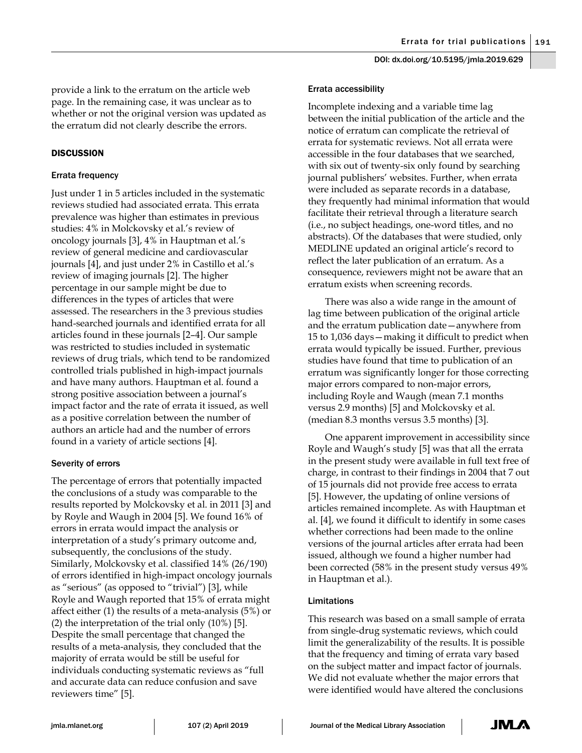provide a link to the erratum on the article web page. In the remaining case, it was unclear as to whether or not the original version was updated as the erratum did not clearly describe the errors.

## **DISCUSSION**

## Errata frequency

Just under 1 in 5 articles included in the systematic reviews studied had associated errata. This errata prevalence was higher than estimates in previous studies: 4% in Molckovsky et al.'s review of oncology journals [3], 4% in Hauptman et al.'s review of general medicine and cardiovascular journals [4], and just under 2% in Castillo et al.'s review of imaging journals [2]. The higher percentage in our sample might be due to differences in the types of articles that were assessed. The researchers in the 3 previous studies hand-searched journals and identified errata for all articles found in these journals [2–4]. Our sample was restricted to studies included in systematic reviews of drug trials, which tend to be randomized controlled trials published in high-impact journals and have many authors. Hauptman et al. found a strong positive association between a journal's impact factor and the rate of errata it issued, as well as a positive correlation between the number of authors an article had and the number of errors found in a variety of article sections [4].

### Severity of errors

The percentage of errors that potentially impacted the conclusions of a study was comparable to the results reported by Molckovsky et al. in 2011 [3] and by Royle and Waugh in 2004 [5]. We found 16% of errors in errata would impact the analysis or interpretation of a study's primary outcome and, subsequently, the conclusions of the study. Similarly, Molckovsky et al. classified 14% (26/190) of errors identified in high-impact oncology journals as "serious" (as opposed to "trivial") [3], while Royle and Waugh reported that 15% of errata might affect either (1) the results of a meta-analysis (5%) or (2) the interpretation of the trial only (10%) [5]. Despite the small percentage that changed the results of a meta-analysis, they concluded that the majority of errata would be still be useful for individuals conducting systematic reviews as "full and accurate data can reduce confusion and save reviewers time" [5].

#### Errata accessibility

Incomplete indexing and a variable time lag between the initial publication of the article and the notice of erratum can complicate the retrieval of errata for systematic reviews. Not all errata were accessible in the four databases that we searched, with six out of twenty-six only found by searching journal publishers' websites. Further, when errata were included as separate records in a database, they frequently had minimal information that would facilitate their retrieval through a literature search (i.e., no subject headings, one-word titles, and no abstracts). Of the databases that were studied, only MEDLINE updated an original article's record to reflect the later publication of an erratum. As a consequence, reviewers might not be aware that an erratum exists when screening records.

There was also a wide range in the amount of lag time between publication of the original article and the erratum publication date—anywhere from 15 to 1,036 days—making it difficult to predict when errata would typically be issued. Further, previous studies have found that time to publication of an erratum was significantly longer for those correcting major errors compared to non-major errors, including Royle and Waugh (mean 7.1 months versus 2.9 months) [5] and Molckovsky et al. (median 8.3 months versus 3.5 months) [3].

One apparent improvement in accessibility since Royle and Waugh's study [5] was that all the errata in the present study were available in full text free of charge, in contrast to their findings in 2004 that 7 out of 15 journals did not provide free access to errata [5]. However, the updating of online versions of articles remained incomplete. As with Hauptman et al. [4], we found it difficult to identify in some cases whether corrections had been made to the online versions of the journal articles after errata had been issued, although we found a higher number had been corrected (58% in the present study versus 49% in Hauptman et al.).

### Limitations

This research was based on a small sample of errata from single-drug systematic reviews, which could limit the generalizability of the results. It is possible that the frequency and timing of errata vary based on the subject matter and impact factor of journals. We did not evaluate whether the major errors that were identified would have altered the conclusions

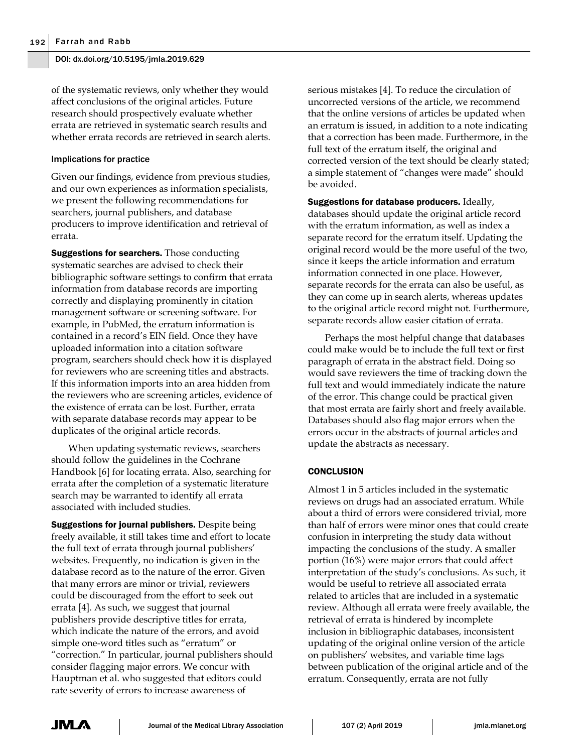of the systematic reviews, only whether they would affect conclusions of the original articles. Future research should prospectively evaluate whether errata are retrieved in systematic search results and whether errata records are retrieved in search alerts.

## Implications for practice

Given our findings, evidence from previous studies, and our own experiences as information specialists, we present the following recommendations for searchers, journal publishers, and database producers to improve identification and retrieval of errata.

**Suggestions for searchers.** Those conducting systematic searches are advised to check their bibliographic software settings to confirm that errata information from database records are importing correctly and displaying prominently in citation management software or screening software. For example, in PubMed, the erratum information is contained in a record's EIN field. Once they have uploaded information into a citation software program, searchers should check how it is displayed for reviewers who are screening titles and abstracts. If this information imports into an area hidden from the reviewers who are screening articles, evidence of the existence of errata can be lost. Further, errata with separate database records may appear to be duplicates of the original article records.

When updating systematic reviews, searchers should follow the guidelines in the Cochrane Handbook [6] for locating errata. Also, searching for errata after the completion of a systematic literature search may be warranted to identify all errata associated with included studies.

Suggestions for journal publishers. Despite being freely available, it still takes time and effort to locate the full text of errata through journal publishers' websites. Frequently, no indication is given in the database record as to the nature of the error. Given that many errors are minor or trivial, reviewers could be discouraged from the effort to seek out errata [4]. As such, we suggest that journal publishers provide descriptive titles for errata, which indicate the nature of the errors, and avoid simple one-word titles such as "erratum" or "correction." In particular, journal publishers should consider flagging major errors. We concur with Hauptman et al. who suggested that editors could rate severity of errors to increase awareness of

serious mistakes [4]. To reduce the circulation of uncorrected versions of the article, we recommend that the online versions of articles be updated when an erratum is issued, in addition to a note indicating that a correction has been made. Furthermore, in the full text of the erratum itself, the original and corrected version of the text should be clearly stated; a simple statement of "changes were made" should be avoided.

Suggestions for database producers. Ideally, databases should update the original article record with the erratum information, as well as index a separate record for the erratum itself. Updating the original record would be the more useful of the two, since it keeps the article information and erratum information connected in one place. However, separate records for the errata can also be useful, as they can come up in search alerts, whereas updates to the original article record might not. Furthermore, separate records allow easier citation of errata.

Perhaps the most helpful change that databases could make would be to include the full text or first paragraph of errata in the abstract field. Doing so would save reviewers the time of tracking down the full text and would immediately indicate the nature of the error. This change could be practical given that most errata are fairly short and freely available. Databases should also flag major errors when the errors occur in the abstracts of journal articles and update the abstracts as necessary.

# **CONCLUSION**

Almost 1 in 5 articles included in the systematic reviews on drugs had an associated erratum. While about a third of errors were considered trivial, more than half of errors were minor ones that could create confusion in interpreting the study data without impacting the conclusions of the study. A smaller portion (16%) were major errors that could affect interpretation of the study's conclusions. As such, it would be useful to retrieve all associated errata related to articles that are included in a systematic review. Although all errata were freely available, the retrieval of errata is hindered by incomplete inclusion in bibliographic databases, inconsistent updating of the original online version of the article on publishers' websites, and variable time lags between publication of the original article and of the erratum. Consequently, errata are not fully